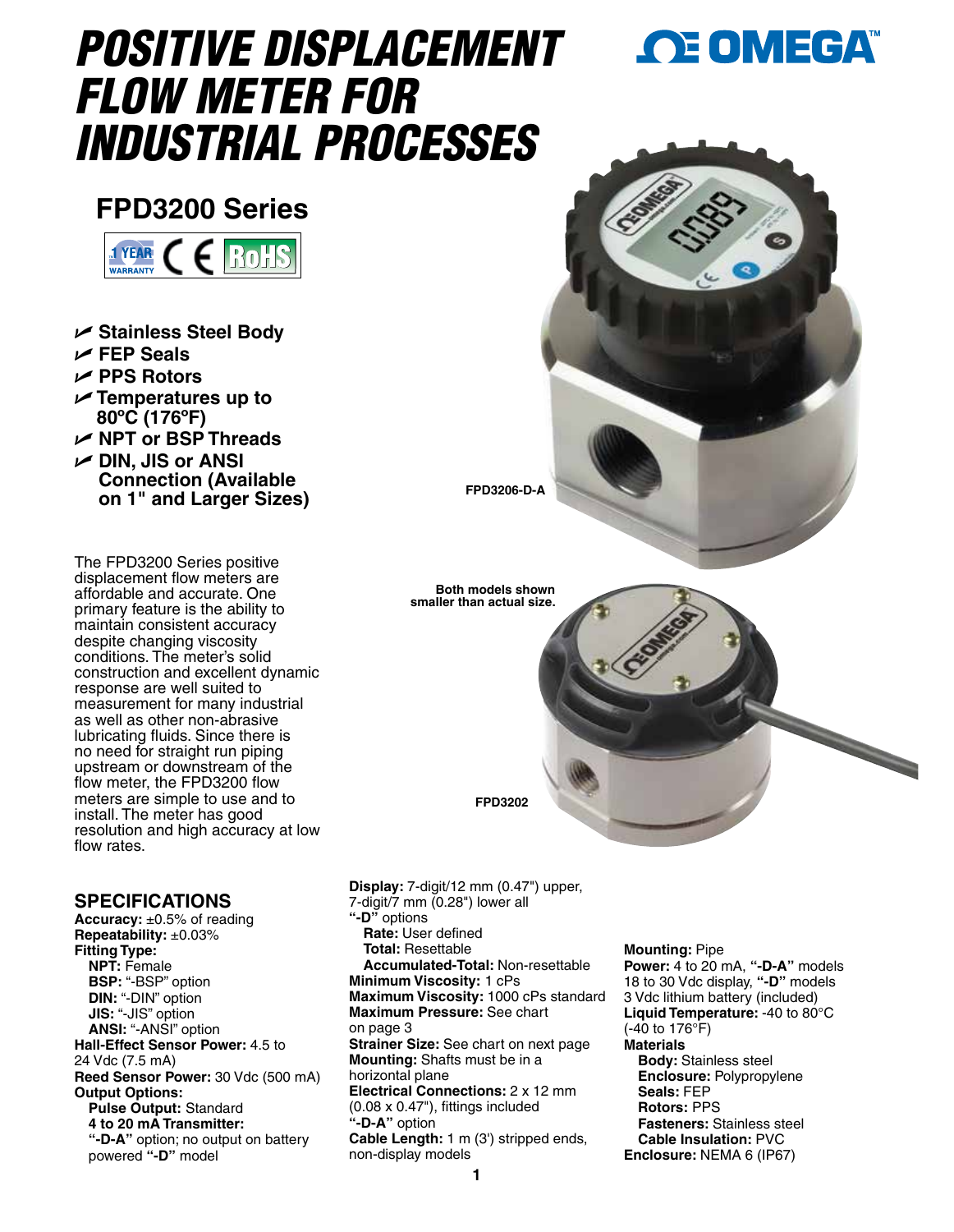# *POSITIVE DISPLACEMENT FLOW METER FOR INDUSTRIAL PROCESSES*

# **FPD3200 Series**



- U **Stainless Steel Body**
- U **FEP Seals**
- U **PPS Rotors**
- U **Temperatures up to 80ºC (176ºF)**
- U **NPT or BSP Threads**
- U **DIN, JIS or ANSI Connection (Available on 1" and Larger Sizes)**

The FPD3200 Series positive displacement flow meters are affordable and accurate. One primary feature is the ability to maintain consistent accuracy despite changing viscosity conditions. The meter's solid construction and excellent dynamic response are well suited to measurement for many industrial as well as other non-abrasive lubricating fluids. Since there is no need for straight run piping upstream or downstream of the flow meter, the FPD3200 flow meters are simple to use and to install. The meter has good resolution and high accuracy at low flow rates.

### **SPECIFICATIONS**

**Accuracy:** ±0.5% of reading **Repeatability:** ±0.03% **Fitting Type: NPT:** Female **BSP:** "-BSP" option **DIN:** "-DIN" option **JIS:** "-JIS" option **ANSI:** "-ANSI" option **Hall-Effect Sensor Power:** 4.5 to 24 Vdc (7.5 mA) **Reed Sensor Power:** 30 Vdc (500 mA) **Output Options: Pulse Output:** Standard **4 to 20 mA Transmitter: "-D-A"** option; no output on battery powered **"-D"** model



**Display:** 7-digit/12 mm (0.47") upper, 7-digit/7 mm (0.28") lower all **"-D"** options **Rate:** User defined **Total:** Resettable **Accumulated-Total:** Non-resettable **Minimum Viscosity:** 1 cPs **Maximum Viscosity:** 1000 cPs standard **Maximum Pressure:** See chart on page 3 **Strainer Size:** See chart on next page **Mounting:** Shafts must be in a horizontal plane **Electrical Connections:**  $2 \times 12$  mm (0.08 x 0.47"), fittings included **"-D-A"** option

#### **Cable Length:** 1 m (3') stripped ends, non-display models

#### **Mounting:** Pipe

**Power:** 4 to 20 mA, **"-D-A"** models 18 to 30 Vdc display, **"-D"** models 3 Vdc lithium battery (included) **Liquid Temperature:** -40 to 80°C (-40 to 176°F) **Materials**

**OE OMEGA** 

**Body:** Stainless steel **Enclosure:** Polypropylene **Seals:** FEP **Rotors:** PPS **Fasteners:** Stainless steel **Cable Insulation:** PVC **Enclosure:** NEMA 6 (IP67)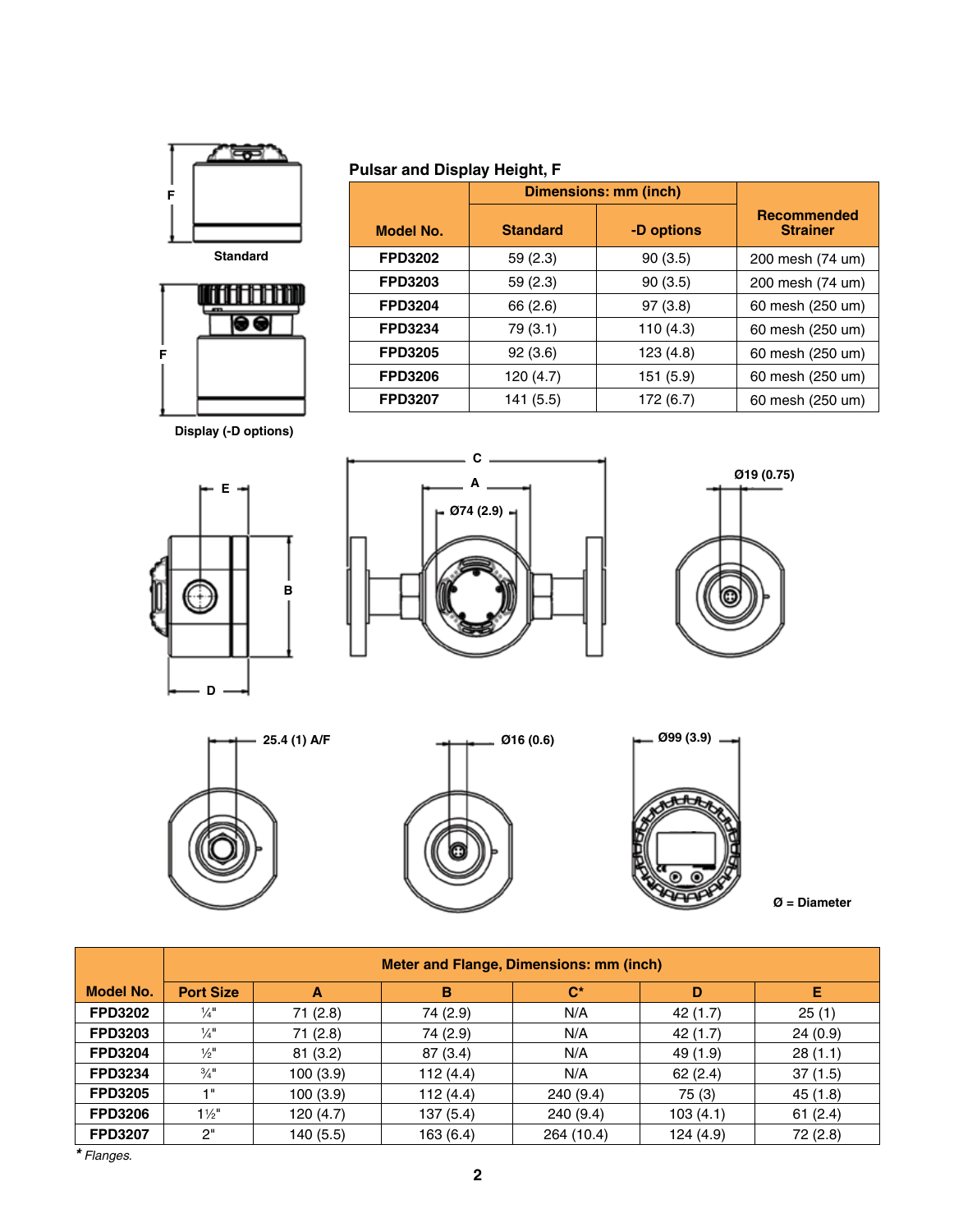

in a shekara  $\bullet\bullet$ 

## **Pulsar and Display Height, F**

|                | <b>Dimensions: mm (inch)</b> |            |                                       |
|----------------|------------------------------|------------|---------------------------------------|
| Model No.      | <b>Standard</b>              | -D options | <b>Recommended</b><br><b>Strainer</b> |
| <b>FPD3202</b> | 59 (2.3)                     | 90(3.5)    | 200 mesh (74 um)                      |
| <b>FPD3203</b> | 59 (2.3)                     | 90(3.5)    | 200 mesh (74 um)                      |
| <b>FPD3204</b> | 66 (2.6)                     | 97(3.8)    | 60 mesh (250 um)                      |
| <b>FPD3234</b> | 79 (3.1)                     | 110(4.3)   | 60 mesh (250 um)                      |
| <b>FPD3205</b> | 92(3.6)                      | 123(4.8)   | 60 mesh (250 um)                      |
| <b>FPD3206</b> | 120 (4.7)                    | 151 (5.9)  | 60 mesh (250 um)                      |
| <b>FPD3207</b> | 141 (5.5)                    | 172 (6.7)  | 60 mesh (250 um)                      |

**Display (-D options)**

**F F**













**Ø = Diameter**

|                  | <b>Meter and Flange, Dimensions: mm (inch)</b> |           |           |            |           |          |
|------------------|------------------------------------------------|-----------|-----------|------------|-----------|----------|
| <b>Model No.</b> | <b>Port Size</b>                               | A         | B         | $C^*$      | D         | Е        |
| <b>FPD3202</b>   | $\frac{1}{4}$                                  | 71 (2.8)  | 74 (2.9)  | N/A        | 42 (1.7)  | 25(1)    |
| <b>FPD3203</b>   | $\frac{1}{4}$                                  | 71(2.8)   | 74 (2.9)  | N/A        | 42 (1.7)  | 24(0.9)  |
| <b>FPD3204</b>   | $\frac{1}{2}$                                  | 81(3.2)   | 87 (3.4)  | N/A        | 49 (1.9)  | 28(1.1)  |
| <b>FPD3234</b>   | $\frac{3}{4}$ <sup>11</sup>                    | 100(3.9)  | 112 (4.4) | N/A        | 62(2.4)   | 37(1.5)  |
| <b>FPD3205</b>   | 1"                                             | 100(3.9)  | 112(4.4)  | 240(9.4)   | 75 (3)    | 45 (1.8) |
| <b>FPD3206</b>   | $1\frac{1}{2}$                                 | 120 (4.7) | 137(5.4)  | 240(9.4)   | 103(4.1)  | 61(2.4)  |
| <b>FPD3207</b>   | 2"                                             | 140 (5.5) | 163(6.4)  | 264 (10.4) | 124 (4.9) | 72 (2.8) |

*\* Flanges.*